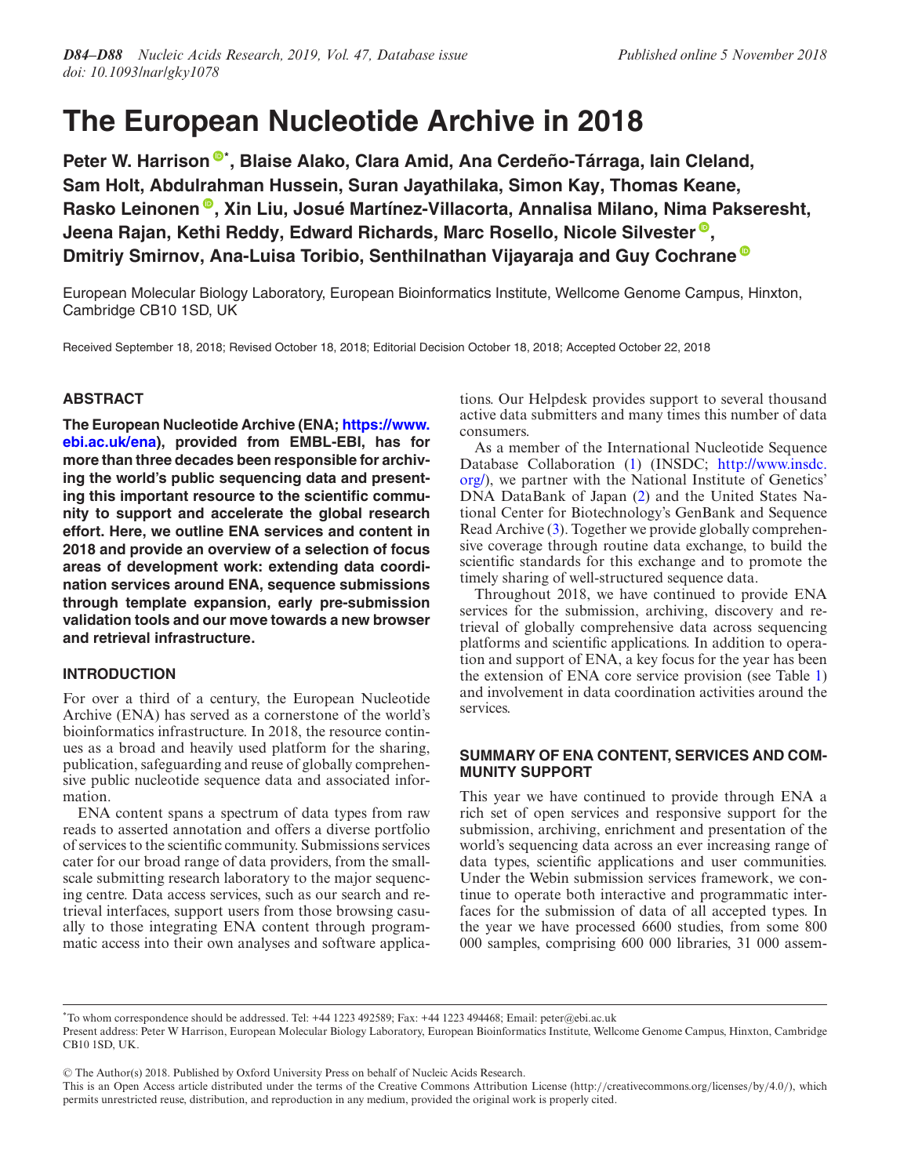# **The European Nucleotide Archive in 2018**

**Peter W. Harrison [\\*](http://orcid.org/0000-0002-4007-2899) , Blaise Alako, Clara Amid, Ana Cerdeno-T ˜ arraga, Iain Cleland, ´ Sam Holt, Abdulrahman Hussein, Suran Jayathilaka, Simon Kay, Thomas Keane, Rasko Leinonen [,](http://orcid.org/0000-0002-2639-7187) Xin Liu, Josue Mart ´ ´ınez-Villacorta, Annalisa Milano, Nima Pakseresht, Jeena Rajan, Kethi Reddy, Edward Richards, Marc Rosello, Nicole Silvester [,](http://orcid.org/0000-0002-6625-894X) Dmitriy Smirnov, Ana-Luisa Toribio, Senthilnathan Vijayaraja and Guy Cochrane**

European Molecular Biology Laboratory, European Bioinformatics Institute, Wellcome Genome Campus, Hinxton, Cambridge CB10 1SD, UK

Received September 18, 2018; Revised October 18, 2018; Editorial Decision October 18, 2018; Accepted October 22, 2018

# **ABSTRACT**

**The European Nucleotide Archive (ENA; https://www. [ebi.ac.uk/ena\), provided from EMBL-EBI, has for](https://www.ebi.ac.uk/ena) more than three decades been responsible for archiving the world's public sequencing data and presenting this important resource to the scientific community to support and accelerate the global research effort. Here, we outline ENA services and content in 2018 and provide an overview of a selection of focus areas of development work: extending data coordination services around ENA, sequence submissions through template expansion, early pre-submission validation tools and our move towards a new browser and retrieval infrastructure.**

# **INTRODUCTION**

For over a third of a century, the European Nucleotide Archive (ENA) has served as a cornerstone of the world's bioinformatics infrastructure. In 2018, the resource continues as a broad and heavily used platform for the sharing, publication, safeguarding and reuse of globally comprehensive public nucleotide sequence data and associated information.

ENA content spans a spectrum of data types from raw reads to asserted annotation and offers a diverse portfolio of services to the scientific community. Submissions services cater for our broad range of data providers, from the smallscale submitting research laboratory to the major sequencing centre. Data access services, such as our search and retrieval interfaces, support users from those browsing casually to those integrating ENA content through programmatic access into their own analyses and software applications. Our Helpdesk provides support to several thousand active data submitters and many times this number of data consumers.

As a member of the International Nucleotide Sequence Database Collaboration [\(1\)](#page-3-0) (INSDC; http://www.insdc. [org/\), we partner with the National Institute of Genetics'](http://www.insdc.org/) DNA DataBank of Japan [\(2\)](#page-3-0) and the United States National Center for Biotechnology's GenBank and Sequence Read Archive [\(3\)](#page-3-0). Together we provide globally comprehensive coverage through routine data exchange, to build the scientific standards for this exchange and to promote the timely sharing of well-structured sequence data.

Throughout 2018, we have continued to provide ENA services for the submission, archiving, discovery and retrieval of globally comprehensive data across sequencing platforms and scientific applications. In addition to operation and support of ENA, a key focus for the year has been the extension of ENA core service provision (see Table [1\)](#page-1-0) and involvement in data coordination activities around the services.

# **SUMMARY OF ENA CONTENT, SERVICES AND COM-MUNITY SUPPORT**

This year we have continued to provide through ENA a rich set of open services and responsive support for the submission, archiving, enrichment and presentation of the world's sequencing data across an ever increasing range of data types, scientific applications and user communities. Under the Webin submission services framework, we continue to operate both interactive and programmatic interfaces for the submission of data of all accepted types. In the year we have processed 6600 studies, from some 800 000 samples, comprising 600 000 libraries, 31 000 assem-

\*To whom correspondence should be addressed. Tel: +44 1223 492589; Fax: +44 1223 494468; Email: peter@ebi.ac.uk

Present address: Peter W Harrison, European Molecular Biology Laboratory, European Bioinformatics Institute, Wellcome Genome Campus, Hinxton, Cambridge CB10 1SD, UK.

-<sup>C</sup> The Author(s) 2018. Published by Oxford University Press on behalf of Nucleic Acids Research.

This is an Open Access article distributed under the terms of the Creative Commons Attribution License (http://creativecommons.org/licenses/by/4.0/), which permits unrestricted reuse, distribution, and reproduction in any medium, provided the original work is properly cited.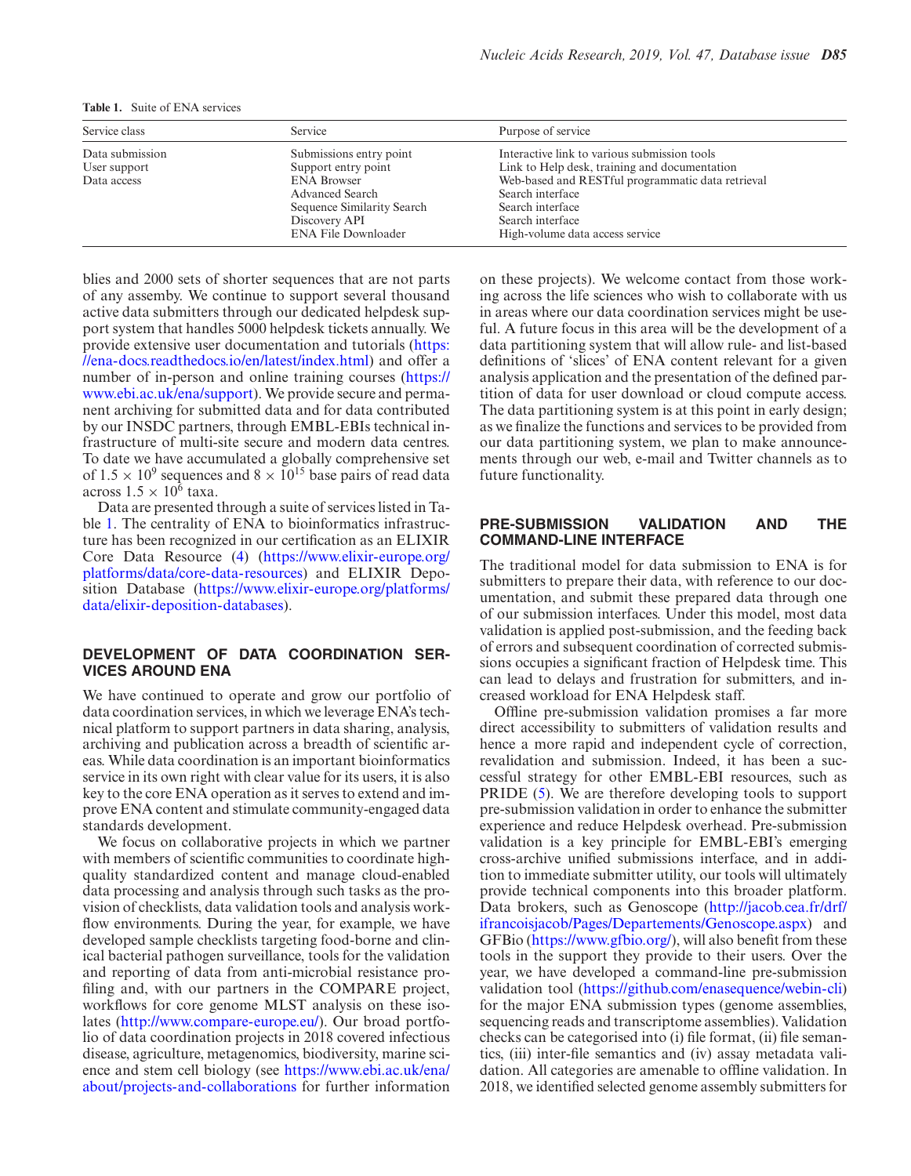| Service class                       | Service                    | Purpose of service                                |  |  |  |  |
|-------------------------------------|----------------------------|---------------------------------------------------|--|--|--|--|
| Data submission                     | Submissions entry point    | Interactive link to various submission tools      |  |  |  |  |
| Support entry point<br>User support |                            | Link to Help desk, training and documentation     |  |  |  |  |
| Data access                         | <b>ENA Browser</b>         | Web-based and RESTful programmatic data retrieval |  |  |  |  |
|                                     | <b>Advanced Search</b>     | Search interface                                  |  |  |  |  |
|                                     | Sequence Similarity Search | Search interface                                  |  |  |  |  |
|                                     | Discovery API              | Search interface                                  |  |  |  |  |
|                                     | <b>ENA File Downloader</b> | High-volume data access service                   |  |  |  |  |

<span id="page-1-0"></span>**Table 1.** Suite of ENA services

blies and 2000 sets of shorter sequences that are not parts of any assemby. We continue to support several thousand active data submitters through our dedicated helpdesk support system that handles 5000 helpdesk tickets annually. We [provide extensive user documentation and tutorials \(https:](https://ena-docs.readthedocs.io/en/latest/index.html) //ena-docs.readthedocs.io/en/latest/index.html) and offer a [number of in-person and online training courses \(https://](https://www.ebi.ac.uk/ena/support) www.ebi.ac.uk/ena/support). We provide secure and permanent archiving for submitted data and for data contributed by our INSDC partners, through EMBL-EBIs technical infrastructure of multi-site secure and modern data centres. To date we have accumulated a globally comprehensive set of  $1.5 \times 10^9$  sequences and  $8 \times 10^{15}$  base pairs of read data across  $1.5 \times 10^6$  taxa.

Data are presented through a suite of services listed in Table 1. The centrality of ENA to bioinformatics infrastructure has been recognized in our certification as an ELIXIR Core Data Resource [\(4\)](#page-4-0) (https://www.elixir-europe.org/ [platforms/data/core-data-resources\) and ELIXIR Depo](https://www.elixir-europe.org/platforms/data/core-data-resources)[sition Database \(https://www.elixir-europe.org/platforms/](https://www.elixir-europe.org/platforms/data/elixir-deposition-databases) data/elixir-deposition-databases).

#### **DEVELOPMENT OF DATA COORDINATION SER-VICES AROUND ENA**

We have continued to operate and grow our portfolio of data coordination services, in which we leverage ENA's technical platform to support partners in data sharing, analysis, archiving and publication across a breadth of scientific areas. While data coordination is an important bioinformatics service in its own right with clear value for its users, it is also key to the core ENA operation as it serves to extend and improve ENA content and stimulate community-engaged data standards development.

We focus on collaborative projects in which we partner with members of scientific communities to coordinate highquality standardized content and manage cloud-enabled data processing and analysis through such tasks as the provision of checklists, data validation tools and analysis workflow environments. During the year, for example, we have developed sample checklists targeting food-borne and clinical bacterial pathogen surveillance, tools for the validation and reporting of data from anti-microbial resistance profiling and, with our partners in the COMPARE project, workflows for core genome MLST analysis on these isolates [\(http://www.compare-europe.eu/\)](http://www.compare-europe.eu/). Our broad portfolio of data coordination projects in 2018 covered infectious disease, agriculture, metagenomics, biodiversity, marine science and stem cell biology (see https://www.ebi.ac.uk/ena/ [about/projects-and-collaborations](https://www.ebi.ac.uk/ena/about/projects-and-collaborations) for further information on these projects). We welcome contact from those working across the life sciences who wish to collaborate with us in areas where our data coordination services might be useful. A future focus in this area will be the development of a data partitioning system that will allow rule- and list-based definitions of 'slices' of ENA content relevant for a given analysis application and the presentation of the defined partition of data for user download or cloud compute access. The data partitioning system is at this point in early design; as we finalize the functions and services to be provided from our data partitioning system, we plan to make announcements through our web, e-mail and Twitter channels as to future functionality.

# **PRE-SUBMISSION VALIDATION AND THE COMMAND-LINE INTERFACE**

The traditional model for data submission to ENA is for submitters to prepare their data, with reference to our documentation, and submit these prepared data through one of our submission interfaces. Under this model, most data validation is applied post-submission, and the feeding back of errors and subsequent coordination of corrected submissions occupies a significant fraction of Helpdesk time. This can lead to delays and frustration for submitters, and increased workload for ENA Helpdesk staff.

Offline pre-submission validation promises a far more direct accessibility to submitters of validation results and hence a more rapid and independent cycle of correction, revalidation and submission. Indeed, it has been a successful strategy for other EMBL-EBI resources, such as PRIDE [\(5\)](#page-4-0). We are therefore developing tools to support pre-submission validation in order to enhance the submitter experience and reduce Helpdesk overhead. Pre-submission validation is a key principle for EMBL-EBI's emerging cross-archive unified submissions interface, and in addition to immediate submitter utility, our tools will ultimately provide technical components into this broader platform. [Data brokers, such as Genoscope \(http://jacob.cea.fr/drf/](http://jacob.cea.fr/drf/ifrancoisjacob/Pages/Departements/Genoscope.aspx) ifrancoisjacob/Pages/Departements/Genoscope.aspx) and GFBio [\(https://www.gfbio.org/\)](https://www.gfbio.org/), will also benefit from these tools in the support they provide to their users. Over the year, we have developed a command-line pre-submission validation tool [\(https://github.com/enasequence/webin-cli\)](https://github.com/enasequence/webin-cli) for the major ENA submission types (genome assemblies, sequencing reads and transcriptome assemblies). Validation checks can be categorised into (i) file format, (ii) file semantics, (iii) inter-file semantics and (iv) assay metadata validation. All categories are amenable to offline validation. In 2018, we identified selected genome assembly submitters for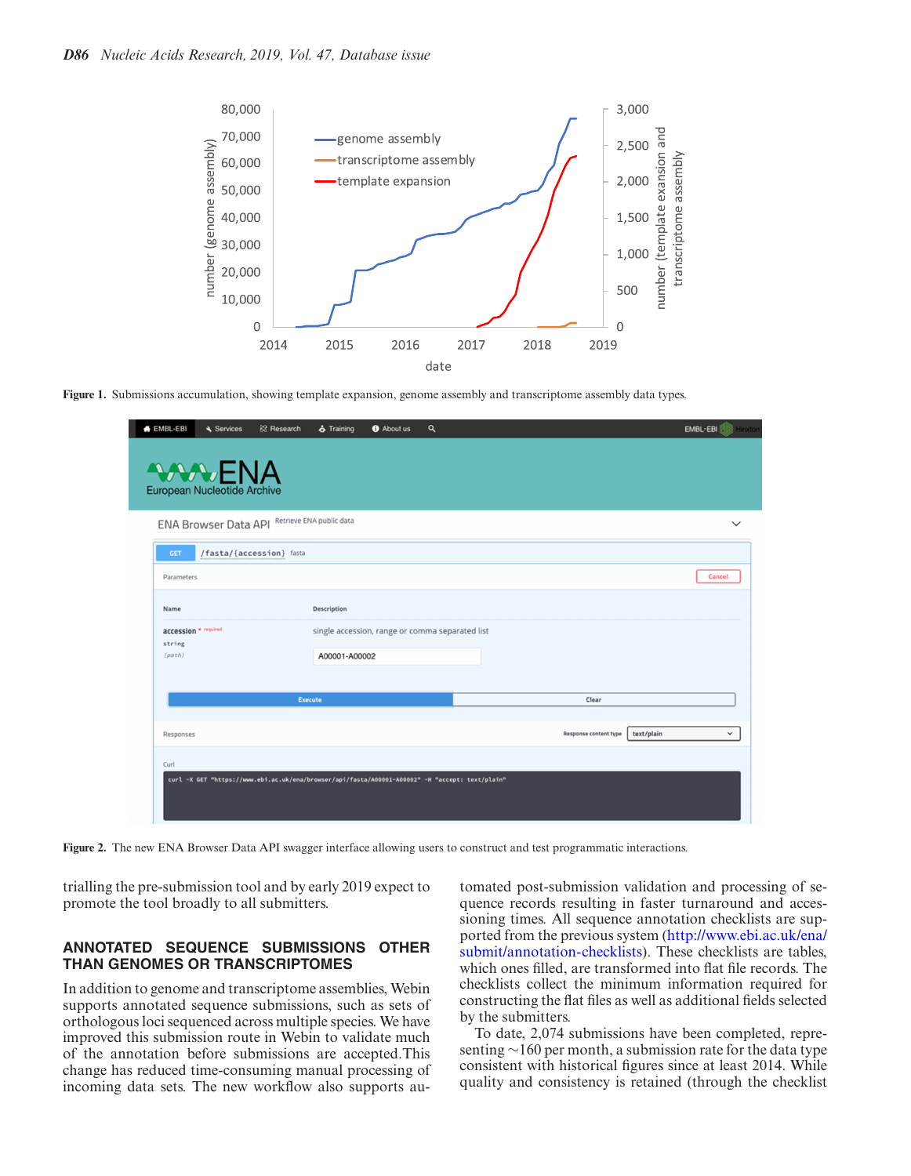<span id="page-2-0"></span>

**Figure 1.** Submissions accumulation, showing template expansion, genome assembly and transcriptome assembly data types.

| <b># EMBL-EBI</b>                                                                                       | & Services                                  | & Research                                    | & Training                                                       | <b>O</b> About us | Q |  |  |       |                              |            |               | EMBL-EBI HIMAGE |
|---------------------------------------------------------------------------------------------------------|---------------------------------------------|-----------------------------------------------|------------------------------------------------------------------|-------------------|---|--|--|-------|------------------------------|------------|---------------|-----------------|
|                                                                                                         | <b>WWENA</b><br>European Nucleotide Archive |                                               |                                                                  |                   |   |  |  |       |                              |            |               |                 |
|                                                                                                         |                                             | ENA Browser Data API Retrieve ENA public data |                                                                  |                   |   |  |  |       |                              |            |               | $\checkmark$    |
| <b>GET</b>                                                                                              |                                             | /fasta/{accession} fasta                      |                                                                  |                   |   |  |  |       |                              |            |               |                 |
| Parameters                                                                                              |                                             |                                               |                                                                  |                   |   |  |  |       |                              |            | <b>Cancel</b> |                 |
| Name                                                                                                    |                                             |                                               | Description                                                      |                   |   |  |  |       |                              |            |               |                 |
| string<br>(path)                                                                                        | accession * required                        |                                               | single accession, range or comma separated list<br>A00001-A00002 |                   |   |  |  |       |                              |            |               |                 |
|                                                                                                         | <b>Execute</b>                              |                                               |                                                                  |                   |   |  |  | Clear |                              |            |               |                 |
| Responses                                                                                               |                                             |                                               |                                                                  |                   |   |  |  |       | <b>Response content type</b> | text/plain |               | $\checkmark$    |
| Curl<br>curl -X GET "https://www.ebi.ac.uk/ena/browser/api/fasta/A00001-A00002" -H "accept: text/plain" |                                             |                                               |                                                                  |                   |   |  |  |       |                              |            |               |                 |
|                                                                                                         |                                             |                                               |                                                                  |                   |   |  |  |       |                              |            |               |                 |

**Figure 2.** The new ENA Browser Data API swagger interface allowing users to construct and test programmatic interactions.

trialling the pre-submission tool and by early 2019 expect to promote the tool broadly to all submitters.

# **ANNOTATED SEQUENCE SUBMISSIONS OTHER THAN GENOMES OR TRANSCRIPTOMES**

In addition to genome and transcriptome assemblies, Webin supports annotated sequence submissions, such as sets of orthologous loci sequenced across multiple species. We have improved this submission route in Webin to validate much of the annotation before submissions are accepted.This change has reduced time-consuming manual processing of incoming data sets. The new workflow also supports automated post-submission validation and processing of sequence records resulting in faster turnaround and accessioning times. All sequence annotation checklists are supported from the previous system (http://www.ebi.ac.uk/ena/ [submit/annotation-checklists\). These checklists are tables,](http://www.ebi.ac.uk/ena/submit/annotation-checklists) which ones filled, are transformed into flat file records. The checklists collect the minimum information required for constructing the flat files as well as additional fields selected by the submitters.

To date, 2,074 submissions have been completed, representing ∼160 per month, a submission rate for the data type consistent with historical figures since at least 2014. While quality and consistency is retained (through the checklist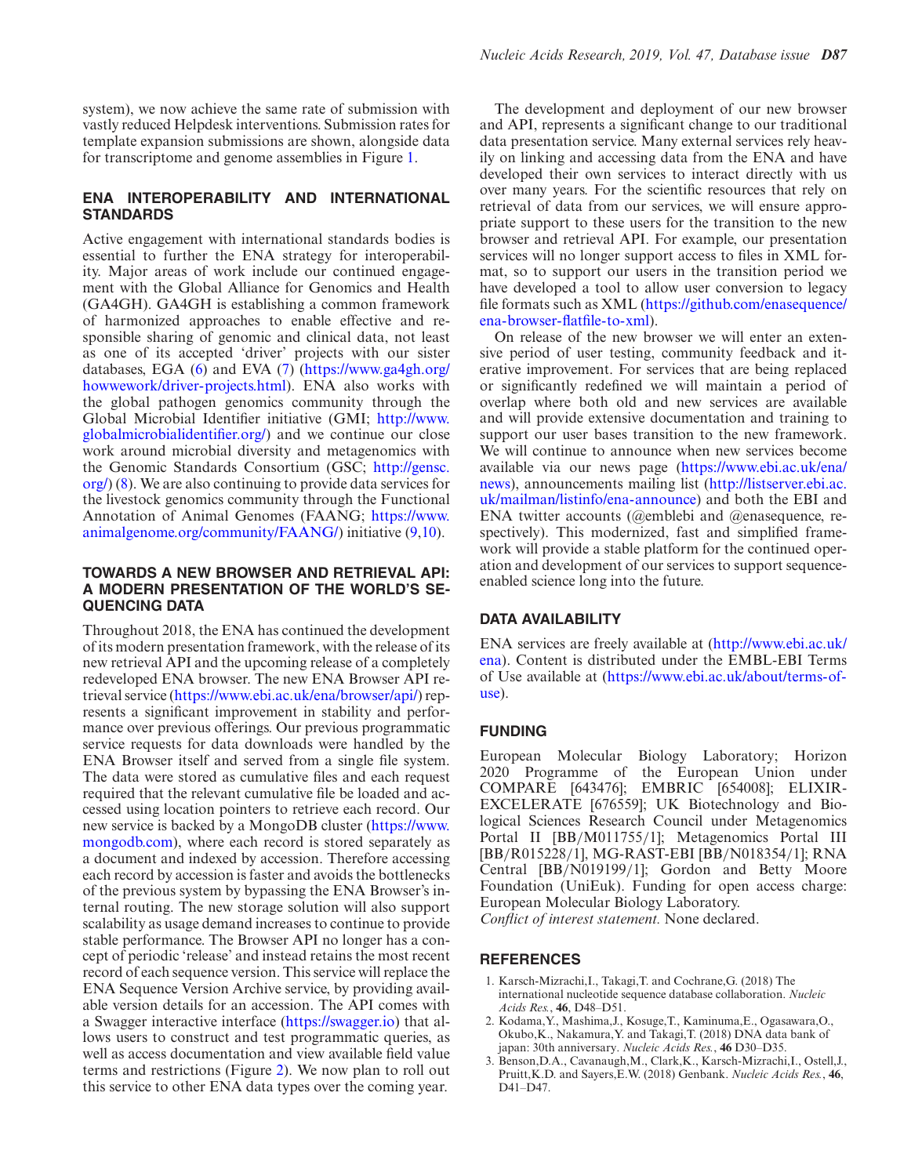<span id="page-3-0"></span>system), we now achieve the same rate of submission with vastly reduced Helpdesk interventions. Submission rates for template expansion submissions are shown, alongside data for transcriptome and genome assemblies in Figure [1.](#page-2-0)

# **ENA INTEROPERABILITY AND INTERNATIONAL STANDARDS**

Active engagement with international standards bodies is essential to further the ENA strategy for interoperability. Major areas of work include our continued engagement with the Global Alliance for Genomics and Health (GA4GH). GA4GH is establishing a common framework of harmonized approaches to enable effective and responsible sharing of genomic and clinical data, not least as one of its accepted 'driver' projects with our sister databases, EGA [\(6\)](#page-4-0) and EVA [\(7\)](#page-4-0) (https://www.ga4gh.org/ [howwework/driver-projects.html\). ENA also works with](https://www.ga4gh.org/howwework/driver-projects.html) the global pathogen genomics community through the Global Microbial Identifier initiative (GMI; http://www. [globalmicrobialidentifier.org/\) and we continue our close](http://www.globalmicrobialidentifier.org/) work around microbial diversity and metagenomics with the Genomic Standards Consortium (GSC; http://gensc. [org/\) \(8\). We are also continuing to provide data services for](http://gensc.org/) the livestock genomics community through the Functional Annotation of Animal Genomes (FAANG; https://www. [animalgenome.org/community/FAANG/\) initiative \(9,10\).](https://www.animalgenome.org/community/FAANG/)

# **TOWARDS A NEW BROWSER AND RETRIEVAL API: A MODERN PRESENTATION OF THE WORLD'S SE-QUENCING DATA**

Throughout 2018, the ENA has continued the development of its modern presentation framework, with the release of its new retrieval API and the upcoming release of a completely redeveloped ENA browser. The new ENA Browser API retrieval service [\(https://www.ebi.ac.uk/ena/browser/api/\)](https://www.ebi.ac.uk/ena/browser/api/) represents a significant improvement in stability and performance over previous offerings. Our previous programmatic service requests for data downloads were handled by the ENA Browser itself and served from a single file system. The data were stored as cumulative files and each request required that the relevant cumulative file be loaded and accessed using location pointers to retrieve each record. Our [new service is backed by a MongoDB cluster \(https://www.](https://www.mongodb.com) mongodb.com), where each record is stored separately as a document and indexed by accession. Therefore accessing each record by accession is faster and avoids the bottlenecks of the previous system by bypassing the ENA Browser's internal routing. The new storage solution will also support scalability as usage demand increases to continue to provide stable performance. The Browser API no longer has a concept of periodic 'release' and instead retains the most recent record of each sequence version. This service will replace the ENA Sequence Version Archive service, by providing available version details for an accession. The API comes with a Swagger interactive interface [\(https://swagger.io\)](https://swagger.io) that allows users to construct and test programmatic queries, as well as access documentation and view available field value terms and restrictions (Figure [2\)](#page-2-0). We now plan to roll out this service to other ENA data types over the coming year.

The development and deployment of our new browser and API, represents a significant change to our traditional data presentation service. Many external services rely heavily on linking and accessing data from the ENA and have developed their own services to interact directly with us over many years. For the scientific resources that rely on retrieval of data from our services, we will ensure appropriate support to these users for the transition to the new browser and retrieval API. For example, our presentation services will no longer support access to files in XML format, so to support our users in the transition period we have developed a tool to allow user conversion to legacy [file formats such as XML \(https://github.com/enasequence/](https://github.com/enasequence/ena-browser-flatfile-to-xml) ena-browser-flatfile-to-xml).

On release of the new browser we will enter an extensive period of user testing, community feedback and iterative improvement. For services that are being replaced or significantly redefined we will maintain a period of overlap where both old and new services are available and will provide extensive documentation and training to support our user bases transition to the new framework. We will continue to announce when new services become [available via our news page \(https://www.ebi.ac.uk/ena/](https://www.ebi.ac.uk/ena/news) [news\), announcements mailing list \(http://listserver.ebi.ac.](http://listserver.ebi.ac.uk/mailman/listinfo/ena-announce) uk/mailman/listinfo/ena-announce) and both the EBI and ENA twitter accounts (@emblebi and @enasequence, respectively). This modernized, fast and simplified framework will provide a stable platform for the continued operation and development of our services to support sequenceenabled science long into the future.

# **DATA AVAILABILITY**

[ENA services are freely available at \(http://www.ebi.ac.uk/](http://www.ebi.ac.uk/ena) ena). Content is distributed under the EMBL-EBI Terms [of Use available at \(https://www.ebi.ac.uk/about/terms-of](https://www.ebi.ac.uk/about/terms-of-use)use).

# **FUNDING**

European Molecular Biology Laboratory; Horizon 2020 Programme of the European Union under COMPARE [643476]; EMBRIC [654008]; ELIXIR-EXCELERATE [676559]; UK Biotechnology and Biological Sciences Research Council under Metagenomics Portal II [BB/M011755/1]; Metagenomics Portal III [BB/R015228/1], MG-RAST-EBI [BB/N018354/1]; RNA Central [BB/N019199/1]; Gordon and Betty Moore Foundation (UniEuk). Funding for open access charge: European Molecular Biology Laboratory.

*Conflict of interest statement.* None declared.

#### **REFERENCES**

- 1. Karsch-Mizrachi,I., Takagi,T. and Cochrane,G. (2018) The international nucleotide sequence database collaboration. *Nucleic Acids Res.*, **46**, D48–D51.
- 2. Kodama,Y., Mashima,J., Kosuge,T., Kaminuma,E., Ogasawara,O., Okubo,K., Nakamura,Y. and Takagi,T. (2018) DNA data bank of japan: 30th anniversary. *Nucleic Acids Res.*, **46** D30–D35.
- 3. Benson,D.A., Cavanaugh,M., Clark,K., Karsch-Mizrachi,I., Ostell,J., Pruitt,K.D. and Sayers,E.W. (2018) Genbank. *Nucleic Acids Res.*, **46**, D41–D47.